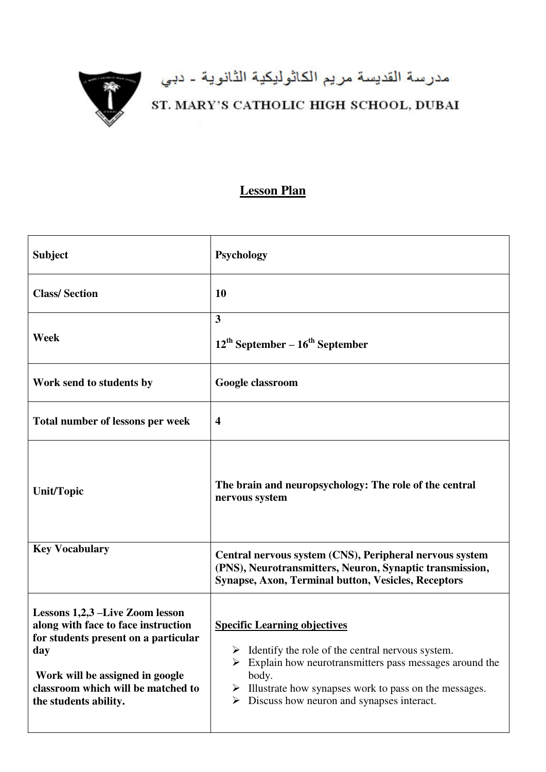

## مدرسة القديسة مريم الكاثوليكية الثانوية - دبي<br>ST. MARY'S CATHOLIC HIGH SCHOOL, DUBAI

## **Lesson Plan**

| <b>Subject</b>                                                                                                                                                                                                          | <b>Psychology</b>                                                                                                                                                                                                                                                                      |
|-------------------------------------------------------------------------------------------------------------------------------------------------------------------------------------------------------------------------|----------------------------------------------------------------------------------------------------------------------------------------------------------------------------------------------------------------------------------------------------------------------------------------|
| <b>Class/Section</b>                                                                                                                                                                                                    | 10                                                                                                                                                                                                                                                                                     |
| Week                                                                                                                                                                                                                    | $\mathbf{3}$<br>$12^{th}$ September – $16^{th}$ September                                                                                                                                                                                                                              |
| Work send to students by                                                                                                                                                                                                | Google classroom                                                                                                                                                                                                                                                                       |
| Total number of lessons per week                                                                                                                                                                                        | $\overline{\mathbf{4}}$                                                                                                                                                                                                                                                                |
| <b>Unit/Topic</b>                                                                                                                                                                                                       | The brain and neuropsychology: The role of the central<br>nervous system                                                                                                                                                                                                               |
| <b>Key Vocabulary</b>                                                                                                                                                                                                   | Central nervous system (CNS), Peripheral nervous system<br>(PNS), Neurotransmitters, Neuron, Synaptic transmission,<br><b>Synapse, Axon, Terminal button, Vesicles, Receptors</b>                                                                                                      |
| Lessons 1,2,3 –Live Zoom lesson<br>along with face to face instruction<br>for students present on a particular<br>day<br>Work will be assigned in google<br>classroom which will be matched to<br>the students ability. | <b>Specific Learning objectives</b><br>Identify the role of the central nervous system.<br>Explain how neurotransmitters pass messages around the<br>body.<br>Illustrate how synapses work to pass on the messages.<br>➤<br>$\triangleright$ Discuss how neuron and synapses interact. |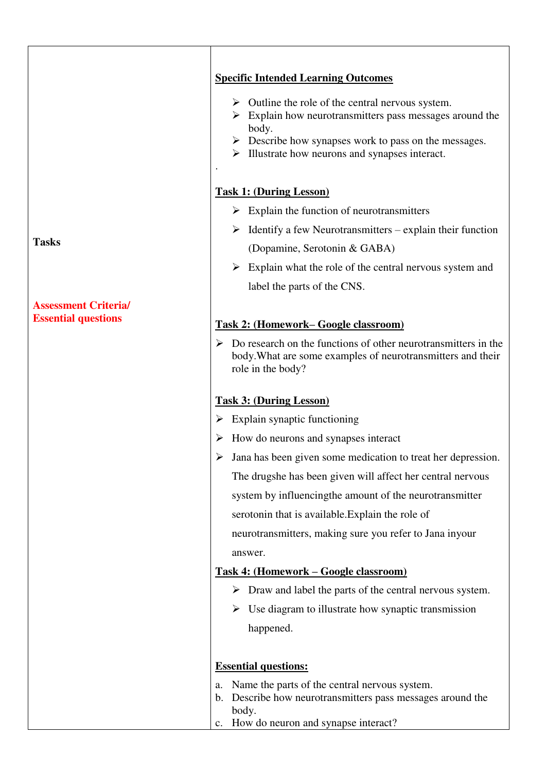|                             | <b>Specific Intended Learning Outcomes</b>                                                                                                                                                                                                                                                     |
|-----------------------------|------------------------------------------------------------------------------------------------------------------------------------------------------------------------------------------------------------------------------------------------------------------------------------------------|
|                             | $\triangleright$ Outline the role of the central nervous system.<br>$\triangleright$ Explain how neurotransmitters pass messages around the<br>body.<br>$\triangleright$ Describe how synapses work to pass on the messages.<br>$\triangleright$ Illustrate how neurons and synapses interact. |
|                             | <b>Task 1: (During Lesson)</b>                                                                                                                                                                                                                                                                 |
|                             | $\triangleright$ Explain the function of neurotransmitters                                                                                                                                                                                                                                     |
| <b>Tasks</b>                | $\triangleright$ Identify a few Neurotransmitters – explain their function                                                                                                                                                                                                                     |
|                             | (Dopamine, Serotonin & GABA)                                                                                                                                                                                                                                                                   |
|                             | $\triangleright$ Explain what the role of the central nervous system and                                                                                                                                                                                                                       |
|                             | label the parts of the CNS.                                                                                                                                                                                                                                                                    |
| <b>Assessment Criteria/</b> |                                                                                                                                                                                                                                                                                                |
| <b>Essential questions</b>  | <b>Task 2: (Homework–Google classroom)</b>                                                                                                                                                                                                                                                     |
|                             | $\triangleright$ Do research on the functions of other neurotransmitters in the<br>body. What are some examples of neurotransmitters and their<br>role in the body?                                                                                                                            |
|                             | <b>Task 3: (During Lesson)</b>                                                                                                                                                                                                                                                                 |
|                             | $\triangleright$ Explain synaptic functioning                                                                                                                                                                                                                                                  |
|                             | $\triangleright$ How do neurons and synapses interact                                                                                                                                                                                                                                          |
|                             | $\triangleright$ Jana has been given some medication to treat her depression.                                                                                                                                                                                                                  |
|                             | The drugshe has been given will affect her central nervous                                                                                                                                                                                                                                     |
|                             | system by influencing the amount of the neurotransmitter                                                                                                                                                                                                                                       |
|                             | serotonin that is available. Explain the role of                                                                                                                                                                                                                                               |
|                             | neurotransmitters, making sure you refer to Jana inyour                                                                                                                                                                                                                                        |
|                             | answer.                                                                                                                                                                                                                                                                                        |
|                             | <u> Task 4: (Homework – Google classroom)</u>                                                                                                                                                                                                                                                  |
|                             | $\triangleright$ Draw and label the parts of the central nervous system.                                                                                                                                                                                                                       |
|                             | $\triangleright$ Use diagram to illustrate how synaptic transmission                                                                                                                                                                                                                           |
|                             | happened.                                                                                                                                                                                                                                                                                      |
|                             | <b>Essential questions:</b>                                                                                                                                                                                                                                                                    |
|                             | Name the parts of the central nervous system.<br>a.<br>Describe how neurotransmitters pass messages around the<br>b.<br>body.                                                                                                                                                                  |